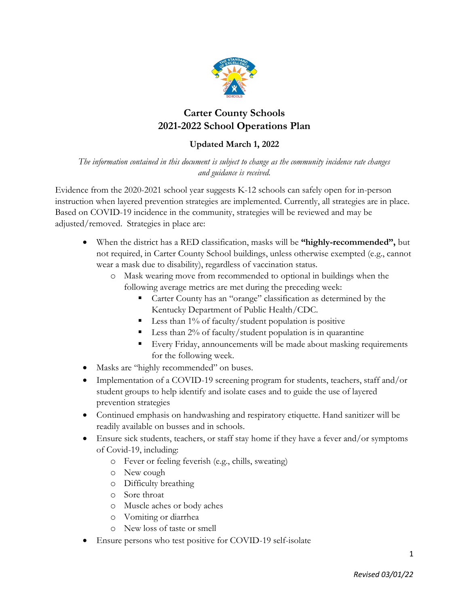

# **Carter County Schools 2021-2022 School Operations Plan**

# **Updated March 1, 2022**

*The information contained in this document is subject to change as the community incidence rate changes and guidance is received.*

Evidence from the 2020-2021 school year suggests K-12 schools can safely open for in-person instruction when layered prevention strategies are implemented. Currently, all strategies are in place. Based on COVID-19 incidence in the community, strategies will be reviewed and may be adjusted/removed. Strategies in place are:

- When the district has a RED classification, masks will be **"highly-recommended",** but not required, in Carter County School buildings, unless otherwise exempted (e.g., cannot wear a mask due to disability), regardless of vaccination status.
	- o Mask wearing move from recommended to optional in buildings when the following average metrics are met during the preceding week:
		- Carter County has an "orange" classification as determined by the Kentucky Department of Public Health/CDC.
		- **Less than 1% of faculty/student population is positive**
		- Less than 2% of faculty/student population is in quarantine
		- Every Friday, announcements will be made about masking requirements for the following week.
- Masks are "highly recommended" on buses.
- Implementation of a COVID-19 screening program for students, teachers, staff and/or student groups to help identify and isolate cases and to guide the use of layered prevention strategies
- Continued emphasis on handwashing and respiratory etiquette. Hand sanitizer will be readily available on busses and in schools.
- Ensure sick students, teachers, or staff stay home if they have a fever and/or symptoms of Covid-19, including:
	- o Fever or feeling feverish (e.g., chills, sweating)
	- o New cough
	- o Difficulty breathing
	- o Sore throat
	- o Muscle aches or body aches
	- o Vomiting or diarrhea
	- o New loss of taste or smell
- Ensure persons who test positive for COVID-19 self-isolate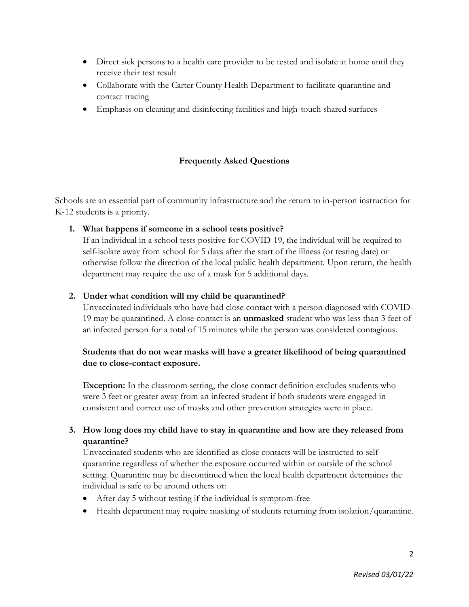- Direct sick persons to a health care provider to be tested and isolate at home until they receive their test result
- Collaborate with the Carter County Health Department to facilitate quarantine and contact tracing
- Emphasis on cleaning and disinfecting facilities and high-touch shared surfaces

# **Frequently Asked Questions**

Schools are an essential part of community infrastructure and the return to in-person instruction for K-12 students is a priority.

#### **1. What happens if someone in a school tests positive?**

If an individual in a school tests positive for COVID-19, the individual will be required to self-isolate away from school for 5 days after the start of the illness (or testing date) or otherwise follow the direction of the local public health department. Upon return, the health department may require the use of a mask for 5 additional days.

#### **2. Under what condition will my child be quarantined?**

Unvaccinated individuals who have had close contact with a person diagnosed with COVID-19 may be quarantined. A close contact is an **unmasked** student who was less than 3 feet of an infected person for a total of 15 minutes while the person was considered contagious.

# **Students that do not wear masks will have a greater likelihood of being quarantined due to close-contact exposure.**

**Exception:** In the classroom setting, the close contact definition excludes students who were 3 feet or greater away from an infected student if both students were engaged in consistent and correct use of masks and other prevention strategies were in place.

# **3. How long does my child have to stay in quarantine and how are they released from quarantine?**

Unvaccinated students who are identified as close contacts will be instructed to selfquarantine regardless of whether the exposure occurred within or outside of the school setting. Quarantine may be discontinued when the local health department determines the individual is safe to be around others or:

- After day 5 without testing if the individual is symptom-free
- Health department may require masking of students returning from isolation/quarantine.